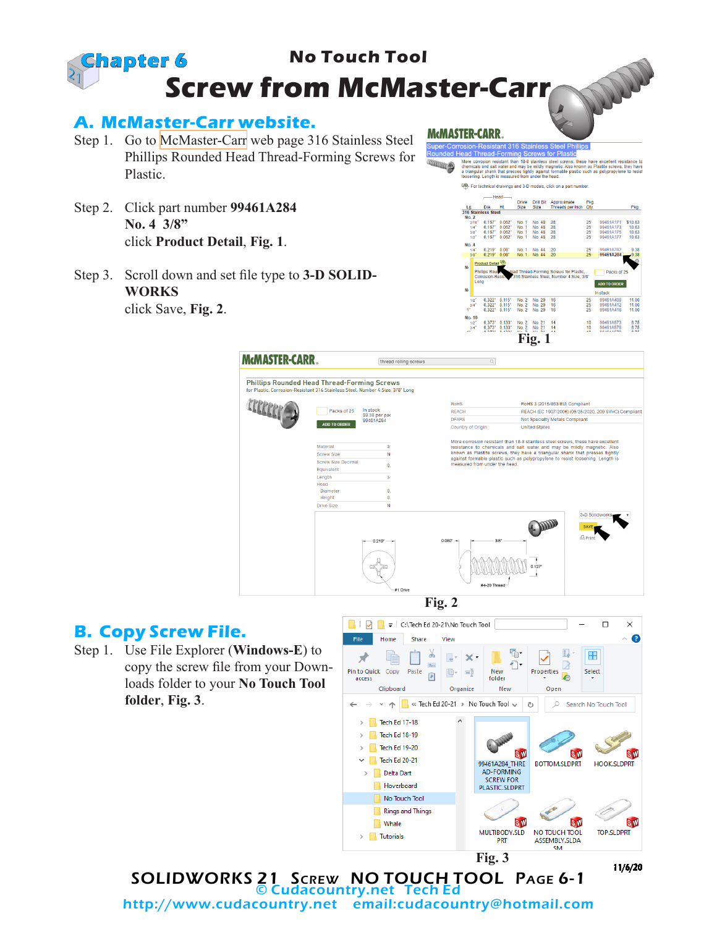

## **B. Copy Screw File.**

Step 1. Use File Explorer (**Windows-E**) to copy the screw file from your Downloads folder to your **No Touch Tool folder**, **Fig. 3**.



SOLIDWORKS 21 Screw NO TOUCH TOOL Page 6-1 © Cudacountry.net Tech Ed http://www.cudacountry.net email:cudacountry@hotmail.com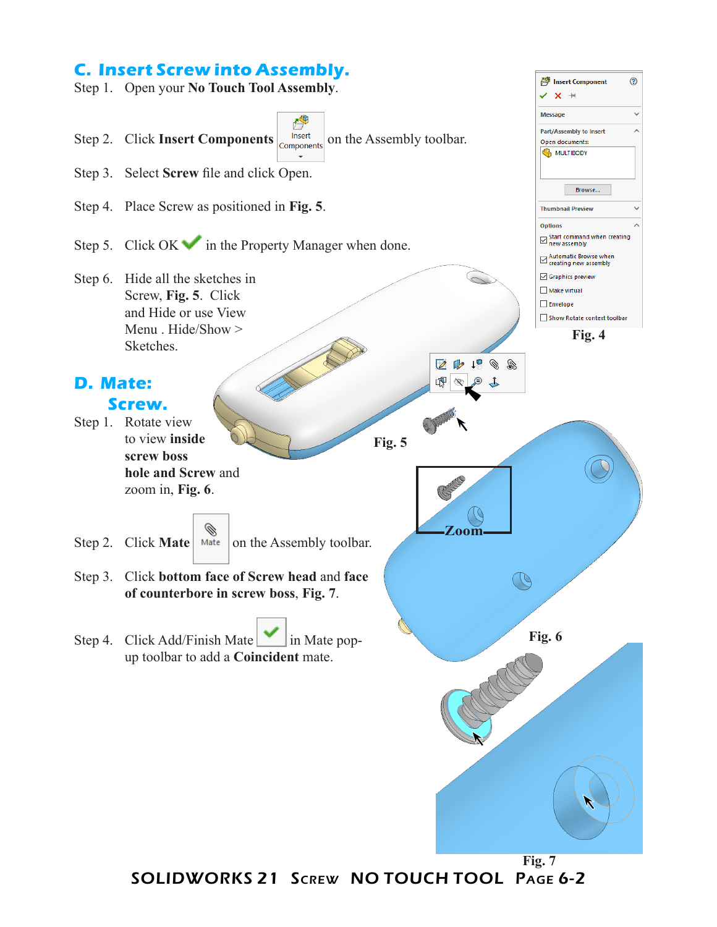## **C. Insert Screw into Assembly.**

Step 1. Open your **No Touch Tool Assembly**.



⊙

Insert Component

SOLIDWORKS 21 Screw NO TOUCH TOOL Page 6-2